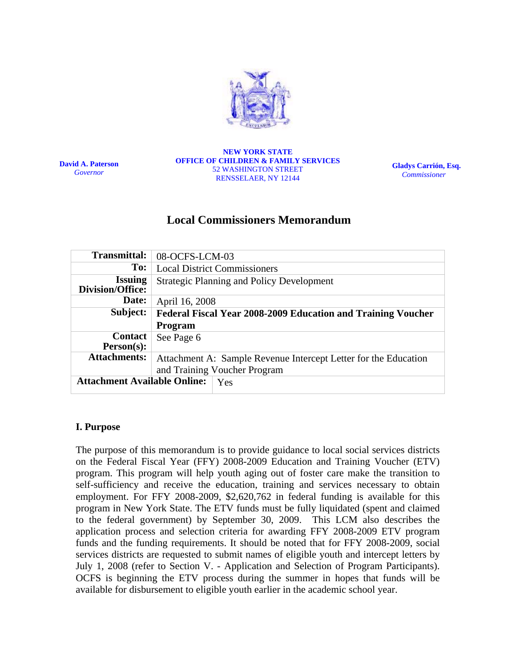

**David A. Paterson**  *Governor*

**NEW YORK STATE OFFICE OF CHILDREN & FAMILY SERVICES**  52 WASHINGTON STREET RENSSELAER, NY 12144

**Gladys Carrión, Esq.**   *Commissioner* 

# **Local Commissioners Memorandum**

| Transmittal:                               | 08-OCFS-LCM-03                                                  |
|--------------------------------------------|-----------------------------------------------------------------|
| To:                                        | <b>Local District Commissioners</b>                             |
| <b>Issuing</b><br>Division/Office:         | <b>Strategic Planning and Policy Development</b>                |
| Date:                                      | April 16, 2008                                                  |
| Subject:                                   | Federal Fiscal Year 2008-2009 Education and Training Voucher    |
|                                            | <b>Program</b>                                                  |
| <b>Contact</b><br>$Person(s)$ :            | See Page 6                                                      |
| <b>Attachments:</b>                        | Attachment A: Sample Revenue Intercept Letter for the Education |
|                                            | and Training Voucher Program                                    |
| <b>Attachment Available Online:</b><br>Yes |                                                                 |

#### **I. Purpose**

The purpose of this memorandum is to provide guidance to local social services districts on the Federal Fiscal Year (FFY) 2008-2009 Education and Training Voucher (ETV) program. This program will help youth aging out of foster care make the transition to self-sufficiency and receive the education, training and services necessary to obtain employment. For FFY 2008-2009, \$2,620,762 in federal funding is available for this program in New York State. The ETV funds must be fully liquidated (spent and claimed to the federal government) by September 30, 2009. This LCM also describes the application process and selection criteria for awarding FFY 2008-2009 ETV program funds and the funding requirements. It should be noted that for FFY 2008-2009, social services districts are requested to submit names of eligible youth and intercept letters by July 1, 2008 (refer to Section V. - Application and Selection of Program Participants). OCFS is beginning the ETV process during the summer in hopes that funds will be available for disbursement to eligible youth earlier in the academic school year.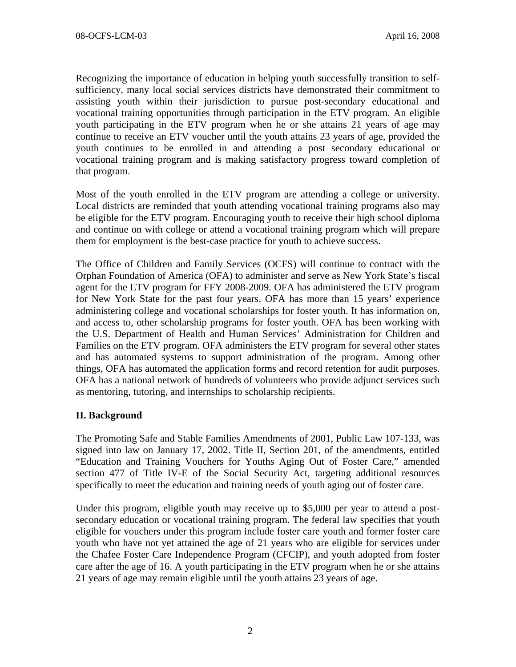Recognizing the importance of education in helping youth successfully transition to selfsufficiency, many local social services districts have demonstrated their commitment to assisting youth within their jurisdiction to pursue post-secondary educational and vocational training opportunities through participation in the ETV program. An eligible youth participating in the ETV program when he or she attains 21 years of age may continue to receive an ETV voucher until the youth attains 23 years of age, provided the youth continues to be enrolled in and attending a post secondary educational or vocational training program and is making satisfactory progress toward completion of that program.

Most of the youth enrolled in the ETV program are attending a college or university. Local districts are reminded that youth attending vocational training programs also may be eligible for the ETV program. Encouraging youth to receive their high school diploma and continue on with college or attend a vocational training program which will prepare them for employment is the best-case practice for youth to achieve success.

The Office of Children and Family Services (OCFS) will continue to contract with the Orphan Foundation of America (OFA) to administer and serve as New York State's fiscal agent for the ETV program for FFY 2008-2009. OFA has administered the ETV program for New York State for the past four years. OFA has more than 15 years' experience administering college and vocational scholarships for foster youth. It has information on, and access to, other scholarship programs for foster youth. OFA has been working with the U.S. Department of Health and Human Services' Administration for Children and Families on the ETV program. OFA administers the ETV program for several other states and has automated systems to support administration of the program. Among other things, OFA has automated the application forms and record retention for audit purposes. OFA has a national network of hundreds of volunteers who provide adjunct services such as mentoring, tutoring, and internships to scholarship recipients.

### **II. Background**

The Promoting Safe and Stable Families Amendments of 2001, Public Law 107-133, was signed into law on January 17, 2002. Title II, Section 201, of the amendments, entitled "Education and Training Vouchers for Youths Aging Out of Foster Care," amended section 477 of Title IV-E of the Social Security Act, targeting additional resources specifically to meet the education and training needs of youth aging out of foster care.

Under this program, eligible youth may receive up to \$5,000 per year to attend a postsecondary education or vocational training program. The federal law specifies that youth eligible for vouchers under this program include foster care youth and former foster care youth who have not yet attained the age of 21 years who are eligible for services under the Chafee Foster Care Independence Program (CFCIP), and youth adopted from foster care after the age of 16. A youth participating in the ETV program when he or she attains 21 years of age may remain eligible until the youth attains 23 years of age.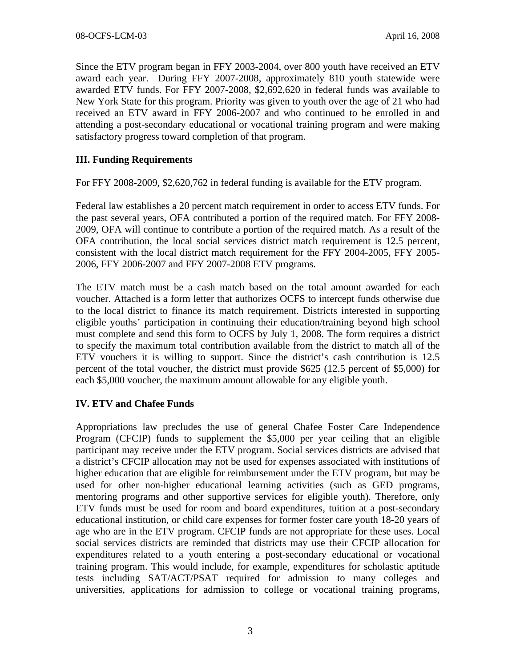Since the ETV program began in FFY 2003-2004, over 800 youth have received an ETV award each year. During FFY 2007-2008, approximately 810 youth statewide were awarded ETV funds. For FFY 2007-2008, \$2,692,620 in federal funds was available to New York State for this program. Priority was given to youth over the age of 21 who had received an ETV award in FFY 2006-2007 and who continued to be enrolled in and attending a post-secondary educational or vocational training program and were making satisfactory progress toward completion of that program.

### **III. Funding Requirements**

For FFY 2008-2009, \$2,620,762 in federal funding is available for the ETV program.

Federal law establishes a 20 percent match requirement in order to access ETV funds. For the past several years, OFA contributed a portion of the required match. For FFY 2008- 2009, OFA will continue to contribute a portion of the required match. As a result of the OFA contribution, the local social services district match requirement is 12.5 percent, consistent with the local district match requirement for the FFY 2004-2005, FFY 2005- 2006, FFY 2006-2007 and FFY 2007-2008 ETV programs.

The ETV match must be a cash match based on the total amount awarded for each voucher. Attached is a form letter that authorizes OCFS to intercept funds otherwise due to the local district to finance its match requirement. Districts interested in supporting eligible youths' participation in continuing their education/training beyond high school must complete and send this form to OCFS by July 1, 2008. The form requires a district to specify the maximum total contribution available from the district to match all of the ETV vouchers it is willing to support. Since the district's cash contribution is 12.5 percent of the total voucher, the district must provide \$625 (12.5 percent of \$5,000) for each \$5,000 voucher, the maximum amount allowable for any eligible youth.

### **IV. ETV and Chafee Funds**

Appropriations law precludes the use of general Chafee Foster Care Independence Program (CFCIP) funds to supplement the \$5,000 per year ceiling that an eligible participant may receive under the ETV program. Social services districts are advised that a district's CFCIP allocation may not be used for expenses associated with institutions of higher education that are eligible for reimbursement under the ETV program, but may be used for other non-higher educational learning activities (such as GED programs, mentoring programs and other supportive services for eligible youth). Therefore, only ETV funds must be used for room and board expenditures, tuition at a post-secondary educational institution, or child care expenses for former foster care youth 18-20 years of age who are in the ETV program. CFCIP funds are not appropriate for these uses. Local social services districts are reminded that districts may use their CFCIP allocation for expenditures related to a youth entering a post-secondary educational or vocational training program. This would include, for example, expenditures for scholastic aptitude tests including SAT/ACT/PSAT required for admission to many colleges and universities, applications for admission to college or vocational training programs,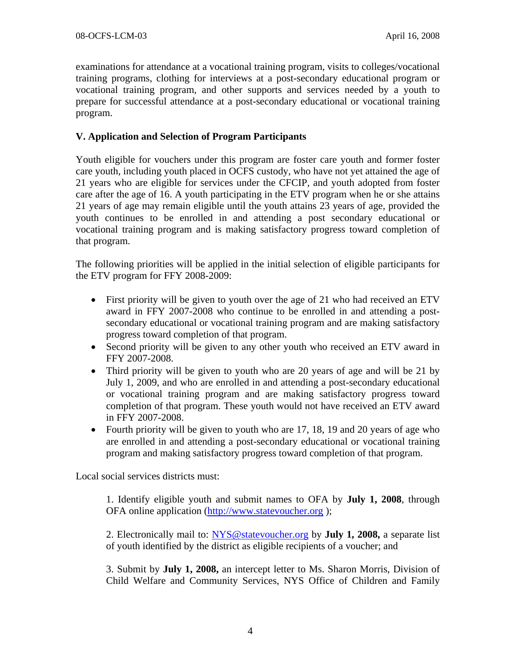examinations for attendance at a vocational training program, visits to colleges/vocational training programs, clothing for interviews at a post-secondary educational program or vocational training program, and other supports and services needed by a youth to prepare for successful attendance at a post-secondary educational or vocational training program.

#### **V. Application and Selection of Program Participants**

Youth eligible for vouchers under this program are foster care youth and former foster care youth, including youth placed in OCFS custody, who have not yet attained the age of 21 years who are eligible for services under the CFCIP, and youth adopted from foster care after the age of 16. A youth participating in the ETV program when he or she attains 21 years of age may remain eligible until the youth attains 23 years of age, provided the youth continues to be enrolled in and attending a post secondary educational or vocational training program and is making satisfactory progress toward completion of that program.

The following priorities will be applied in the initial selection of eligible participants for the ETV program for FFY 2008-2009:

- First priority will be given to youth over the age of 21 who had received an ETV award in FFY 2007-2008 who continue to be enrolled in and attending a postsecondary educational or vocational training program and are making satisfactory progress toward completion of that program.
- Second priority will be given to any other youth who received an ETV award in FFY 2007-2008.
- Third priority will be given to youth who are 20 years of age and will be 21 by July 1, 2009, and who are enrolled in and attending a post-secondary educational or vocational training program and are making satisfactory progress toward completion of that program. These youth would not have received an ETV award in FFY 2007-2008.
- Fourth priority will be given to youth who are 17, 18, 19 and 20 years of age who are enrolled in and attending a post-secondary educational or vocational training program and making satisfactory progress toward completion of that program.

Local social services districts must:

1. Identify eligible youth and submit names to OFA by **July 1, 2008**, through OFA online application (http://www.statevoucher.org );

2. Electronically mail to: NYS@statevoucher.org by **July 1, 2008,** a separate list of youth identified by the district as eligible recipients of a voucher; and

3. Submit by **July 1, 2008,** an intercept letter to Ms. Sharon Morris, Division of Child Welfare and Community Services, NYS Office of Children and Family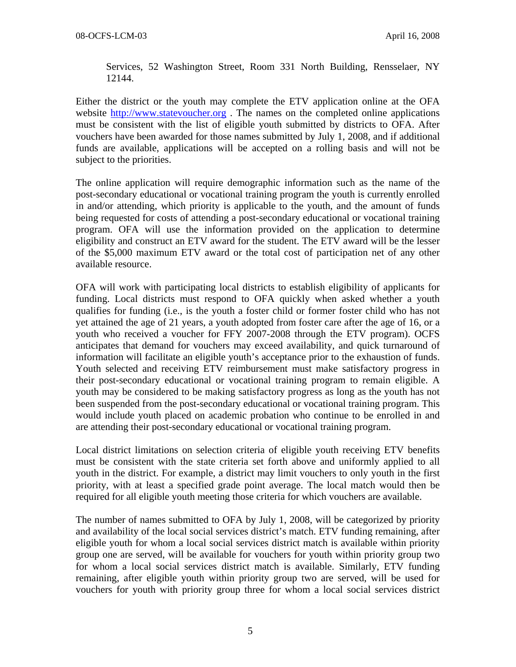Services, 52 Washington Street, Room 331 North Building, Rensselaer, NY 12144.

Either the district or the youth may complete the ETV application online at the OFA website http://www.statevoucher.org. The names on the completed online applications must be consistent with the list of eligible youth submitted by districts to OFA. After vouchers have been awarded for those names submitted by July 1, 2008, and if additional funds are available, applications will be accepted on a rolling basis and will not be subject to the priorities.

The online application will require demographic information such as the name of the post-secondary educational or vocational training program the youth is currently enrolled in and/or attending, which priority is applicable to the youth, and the amount of funds being requested for costs of attending a post-secondary educational or vocational training program. OFA will use the information provided on the application to determine eligibility and construct an ETV award for the student. The ETV award will be the lesser of the \$5,000 maximum ETV award or the total cost of participation net of any other available resource.

OFA will work with participating local districts to establish eligibility of applicants for funding. Local districts must respond to OFA quickly when asked whether a youth qualifies for funding (i.e., is the youth a foster child or former foster child who has not yet attained the age of 21 years, a youth adopted from foster care after the age of 16, or a youth who received a voucher for FFY 2007-2008 through the ETV program). OCFS anticipates that demand for vouchers may exceed availability, and quick turnaround of information will facilitate an eligible youth's acceptance prior to the exhaustion of funds. Youth selected and receiving ETV reimbursement must make satisfactory progress in their post-secondary educational or vocational training program to remain eligible. A youth may be considered to be making satisfactory progress as long as the youth has not been suspended from the post-secondary educational or vocational training program. This would include youth placed on academic probation who continue to be enrolled in and are attending their post-secondary educational or vocational training program.

Local district limitations on selection criteria of eligible youth receiving ETV benefits must be consistent with the state criteria set forth above and uniformly applied to all youth in the district. For example, a district may limit vouchers to only youth in the first priority, with at least a specified grade point average. The local match would then be required for all eligible youth meeting those criteria for which vouchers are available.

The number of names submitted to OFA by July 1, 2008, will be categorized by priority and availability of the local social services district's match. ETV funding remaining, after eligible youth for whom a local social services district match is available within priority group one are served, will be available for vouchers for youth within priority group two for whom a local social services district match is available. Similarly, ETV funding remaining, after eligible youth within priority group two are served, will be used for vouchers for youth with priority group three for whom a local social services district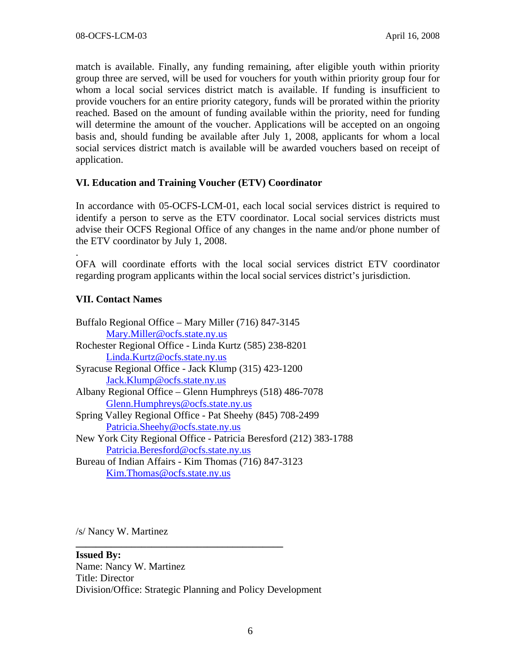match is available. Finally, any funding remaining, after eligible youth within priority group three are served, will be used for vouchers for youth within priority group four for whom a local social services district match is available. If funding is insufficient to provide vouchers for an entire priority category, funds will be prorated within the priority reached. Based on the amount of funding available within the priority, need for funding will determine the amount of the voucher. Applications will be accepted on an ongoing basis and, should funding be available after July 1, 2008, applicants for whom a local social services district match is available will be awarded vouchers based on receipt of application.

## **VI. Education and Training Voucher (ETV) Coordinator**

In accordance with 05-OCFS-LCM-01, each local social services district is required to identify a person to serve as the ETV coordinator. Local social services districts must advise their OCFS Regional Office of any changes in the name and/or phone number of the ETV coordinator by July 1, 2008.

OFA will coordinate efforts with the local social services district ETV coordinator regarding program applicants within the local social services district's jurisdiction.

## **VII. Contact Names**

.

/s/ Nancy W. Martinez

#### **Issued By:**

Name: Nancy W. Martinez Title: Director Division/Office: Strategic Planning and Policy Development

**\_\_\_\_\_\_\_\_\_\_\_\_\_\_\_\_\_\_\_\_\_\_\_\_\_\_\_\_\_\_\_\_\_\_\_\_\_\_\_\_\_**